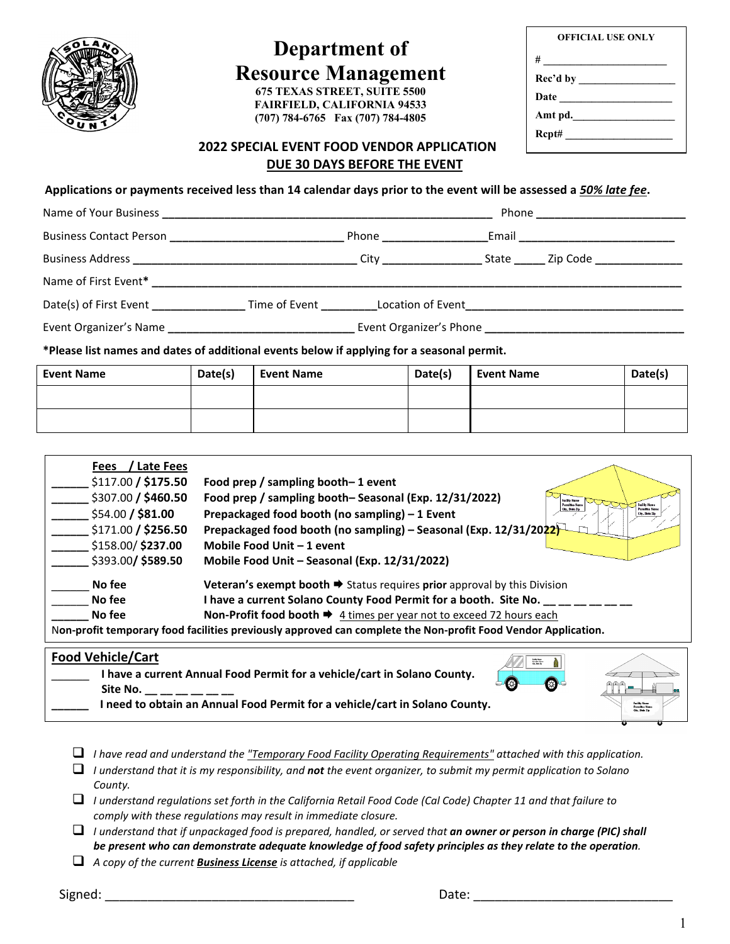

# **Department of Resource Management**

**675 TEXAS STREET, SUITE 5500 FAIRFIELD, CALIFORNIA 94533 (707) 784-6765 Fax (707) 784-4805**

| <b>OFFICIAL USE ONLY</b> |  |
|--------------------------|--|
| #                        |  |
| Rec'd by                 |  |
| Date                     |  |
| Amt pd.                  |  |
|                          |  |
|                          |  |

#### **2022 SPECIAL EVENT FOOD VENDOR APPLICATION DUE 30 DAYS BEFORE THE EVENT**

**Applications or payments received less than 14 calendar days prior to the event will be assessed a** *50% late fee***.**

|                                                                                                                                                                                                                                | Phone ______________________________       |
|--------------------------------------------------------------------------------------------------------------------------------------------------------------------------------------------------------------------------------|--------------------------------------------|
| Business Contact Person entrance and the Phone Phone Phone Phone Phone Contact Person in the Phone Phone Phone Contact Person in the Phone Contact Person in the Phone Contact Person in the Phone Contact Person in the Phone | _Email ___________________________________ |
|                                                                                                                                                                                                                                |                                            |
|                                                                                                                                                                                                                                |                                            |
| Date(s) of First Event Time of Event Location of Event Location of Event                                                                                                                                                       |                                            |
|                                                                                                                                                                                                                                |                                            |
| *Please list names and dates of additional events below if applying for a seasonal permit.                                                                                                                                     |                                            |

| <b>Event Name</b> | Date(s) | <b>Event Name</b> | Date(s) | <b>Event Name</b> | Date(s) |
|-------------------|---------|-------------------|---------|-------------------|---------|
|                   |         |                   |         |                   |         |
|                   |         |                   |         |                   |         |

| <b>Late Fees</b><br><b>Fees</b> |                                                                                                                         |
|---------------------------------|-------------------------------------------------------------------------------------------------------------------------|
| \$117.00 / \$175.50             | Food prep / sampling booth-1 event                                                                                      |
| \$307.00 / \$460.50             | Food prep / sampling booth-Seasonal (Exp. 12/31/2022)<br>Facility Name<br><b>Permittee Name</b><br><b>Facility Neme</b> |
| \$54.00 / \$81.00               | City, State Lip<br>Permittee Na<br>Prepackaged food booth (no sampling) - 1 Event<br>City, State Zip                    |
| \$171.00 / \$256.50             | Prepackaged food booth (no sampling) - Seasonal (Exp. 12/31/2022)                                                       |
| \$158.00/ \$237.00              | Mobile Food Unit - 1 event                                                                                              |
| \$393.00/\$589.50               | Mobile Food Unit - Seasonal (Exp. 12/31/2022)                                                                           |
| No fee                          | Veteran's exempt booth $\Rightarrow$ Status requires prior approval by this Division                                    |
| No fee                          | I have a current Solano County Food Permit for a booth. Site No.                                                        |
| No fee                          | Non-Profit food booth $\Rightarrow$ 4 times per year not to exceed 72 hours each                                        |
|                                 | Non-profit temporary food facilities previously approved can complete the Non-profit Food Vendor Application.           |
| Food Vokiale Cour               |                                                                                                                         |

#### **Food Vehicle/Cart**

| <b>FUUU VEIIILIE/LAI L</b>                                                  | <b>Sadite News</b><br>Paradise Man |                 |
|-----------------------------------------------------------------------------|------------------------------------|-----------------|
| I have a current Annual Food Permit for a vehicle/cart in Solano County.    |                                    |                 |
| Site No.                                                                    | ⊕                                  | ههه             |
| I need to obtain an Annual Food Permit for a vehicle/cart in Solano County. |                                    | City, Shelp Zip |
|                                                                             |                                    |                 |

- *I have read and understand the "Temporary Food Facility Operating Requirements" attached with this application.*
- *I understand that it is my responsibility, and not the event organizer, to submit my permit application to Solano County.*
- *I understand regulations set forth in the California Retail Food Code (Cal Code) Chapter 11 and that failure to comply with these regulations may result in immediate closure.*
- *I understand that if unpackaged food is prepared, handled, or served that an owner or person in charge (PIC) shall be present who can demonstrate adequate knowledge of food safety principles as they relate to the operation.*
- *A copy of the current Business License is attached, if applicable*

Signed: \_\_\_\_\_\_\_\_\_\_\_\_\_\_\_\_\_\_\_\_\_\_\_\_\_\_\_\_\_\_\_\_\_\_\_ Date: \_\_\_\_\_\_\_\_\_\_\_\_\_\_\_\_\_\_\_\_\_\_\_\_\_\_\_\_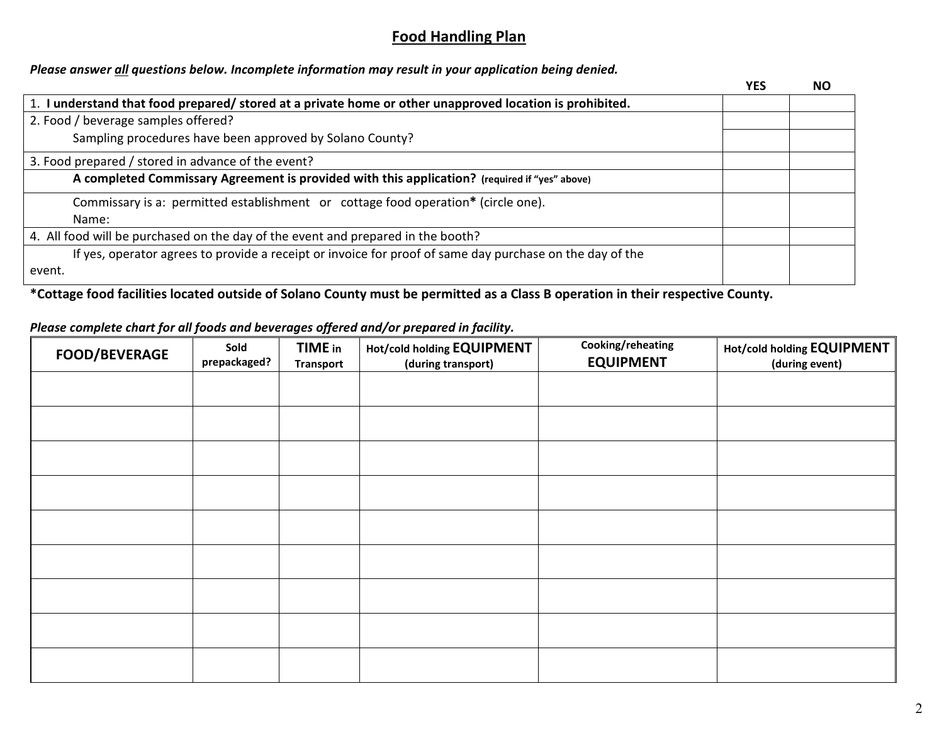# **Food Handling Plan**

### *Please answer all questions below. Incomplete information may result in your application being denied.*

|                                                                                                          | <b>YES</b> | NΟ |
|----------------------------------------------------------------------------------------------------------|------------|----|
| 1. I understand that food prepared/ stored at a private home or other unapproved location is prohibited. |            |    |
| 2. Food / beverage samples offered?                                                                      |            |    |
| Sampling procedures have been approved by Solano County?                                                 |            |    |
| 3. Food prepared / stored in advance of the event?                                                       |            |    |
| A completed Commissary Agreement is provided with this application? (required if "yes" above)            |            |    |
| Commissary is a: permitted establishment or cottage food operation* (circle one).                        |            |    |
| Name:                                                                                                    |            |    |
| 4. All food will be purchased on the day of the event and prepared in the booth?                         |            |    |
| If yes, operator agrees to provide a receipt or invoice for proof of same day purchase on the day of the |            |    |
| event.                                                                                                   |            |    |

**\*Cottage food facilities located outside of Solano County must be permitted as a Class B operation in their respective County.**

#### *Please complete chart for all foods and beverages offered and/or prepared in facility.*

| FOOD/BEVERAGE | Sold<br>prepackaged? | <b>TIME</b> in<br><b>Transport</b> | <b>Hot/cold holding EQUIPMENT</b><br>(during transport) | Cooking/reheating<br><b>EQUIPMENT</b> | <b>Hot/cold holding EQUIPMENT</b><br>(during event) |
|---------------|----------------------|------------------------------------|---------------------------------------------------------|---------------------------------------|-----------------------------------------------------|
|               |                      |                                    |                                                         |                                       |                                                     |
|               |                      |                                    |                                                         |                                       |                                                     |
|               |                      |                                    |                                                         |                                       |                                                     |
|               |                      |                                    |                                                         |                                       |                                                     |
|               |                      |                                    |                                                         |                                       |                                                     |
|               |                      |                                    |                                                         |                                       |                                                     |
|               |                      |                                    |                                                         |                                       |                                                     |
|               |                      |                                    |                                                         |                                       |                                                     |
|               |                      |                                    |                                                         |                                       |                                                     |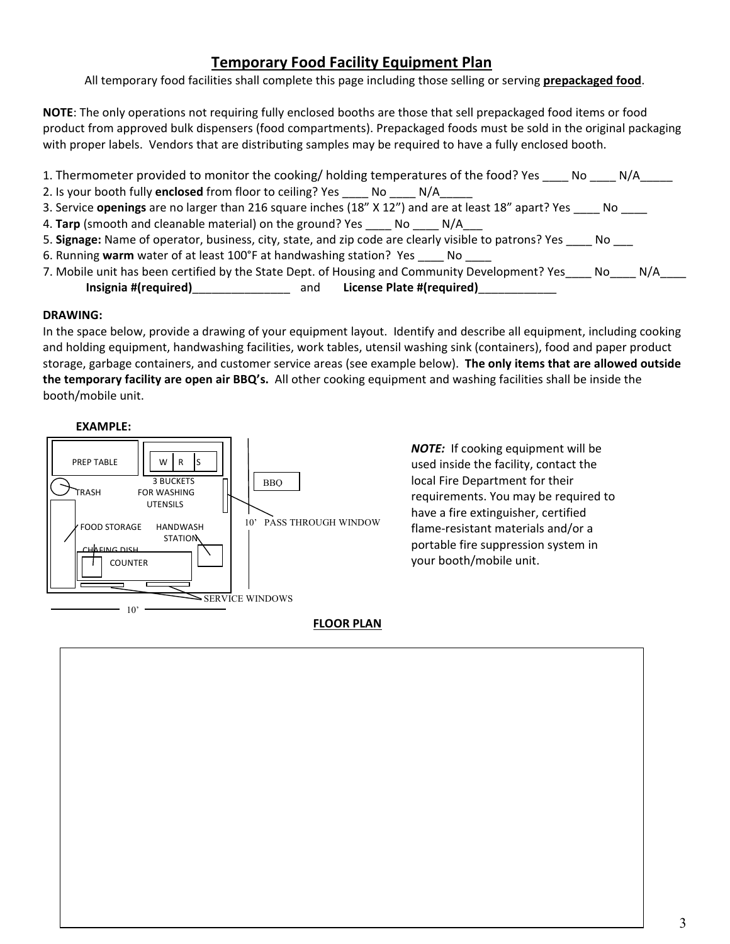# **Temporary Food Facility Equipment Plan**

All temporary food facilities shall complete this page including those selling or serving **prepackaged food**.

**NOTE**: The only operations not requiring fully enclosed booths are those that sell prepackaged food items or food product from approved bulk dispensers (food compartments). Prepackaged foods must be sold in the original packaging with proper labels. Vendors that are distributing samples may be required to have a fully enclosed booth.

- 1. Thermometer provided to monitor the cooking/ holding temperatures of the food? Yes \_\_\_\_ No \_\_\_\_\_ N/A\_\_\_\_\_ 2. Is your booth fully **enclosed** from floor to ceiling? Yes \_\_\_\_ No \_\_\_\_ N/A 3. Service **openings** are no larger than 216 square inches (18" X 12") and are at least 18" apart? Yes \_\_\_\_ No \_\_\_\_ 4. Tarp (smooth and cleanable material) on the ground? Yes \_\_\_\_\_ No \_\_\_\_\_ N/A 5. **Signage:** Name of operator, business, city, state, and zip code are clearly visible to patrons? Yes \_\_\_\_ No \_\_\_ 6. Running **warm** water of at least 100°F at handwashing station? Yes \_\_\_\_ No \_\_\_\_
- 7. Mobile unit has been certified by the State Dept. of Housing and Community Development? Yes\_\_\_\_ No\_\_\_\_ N/A\_\_\_\_ **Insignia #(required)**\_\_\_\_\_\_\_\_\_\_\_\_\_\_\_ and **License Plate #(required)**\_\_\_\_\_\_\_\_\_\_\_\_

#### **DRAWING:**

In the space below, provide a drawing of your equipment layout. Identify and describe all equipment, including cooking and holding equipment, handwashing facilities, work tables, utensil washing sink (containers), food and paper product storage, garbage containers, and customer service areas (see example below). **The only items that are allowed outside the temporary facility are open air BBQ's.** All other cooking equipment and washing facilities shall be inside the booth/mobile unit.

#### **EXAMPLE:**



*NOTE:* If cooking equipment will be used inside the facility, contact the local Fire Department for their requirements. You may be required to have a fire extinguisher, certified flame-resistant materials and/or a portable fire suppression system in your booth/mobile unit.

**FLOOR PLAN**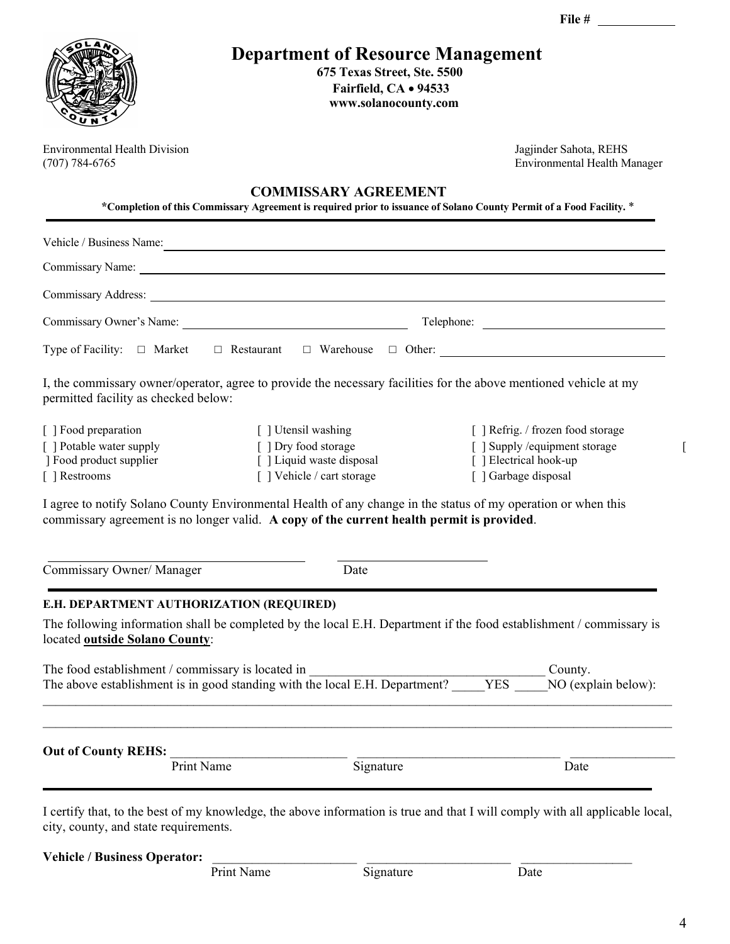|                                                                                              |                                                                                                                                                                                                                                | File $#$                                                                                                              |
|----------------------------------------------------------------------------------------------|--------------------------------------------------------------------------------------------------------------------------------------------------------------------------------------------------------------------------------|-----------------------------------------------------------------------------------------------------------------------|
|                                                                                              | <b>Department of Resource Management</b><br>675 Texas Street, Ste. 5500<br>Fairfield, CA . 94533<br>www.solanocounty.com                                                                                                       |                                                                                                                       |
| <b>Environmental Health Division</b><br>$(707) 784 - 6765$                                   |                                                                                                                                                                                                                                | Jagjinder Sahota, REHS<br><b>Environmental Health Manager</b>                                                         |
|                                                                                              | <b>COMMISSARY AGREEMENT</b>                                                                                                                                                                                                    | *Completion of this Commissary Agreement is required prior to issuance of Solano County Permit of a Food Facility. *  |
|                                                                                              |                                                                                                                                                                                                                                | Vehicle / Business Name:                                                                                              |
|                                                                                              | Commissary Name: Name and South Assembly Name and South Assembly Name and South Assembly Name and South Assembly Name and South Assembly Name and South Assembly Name and Assembly Name and Assembly Name and Assembly Name an |                                                                                                                       |
|                                                                                              |                                                                                                                                                                                                                                |                                                                                                                       |
|                                                                                              |                                                                                                                                                                                                                                |                                                                                                                       |
|                                                                                              |                                                                                                                                                                                                                                |                                                                                                                       |
| permitted facility as checked below:                                                         |                                                                                                                                                                                                                                | I, the commissary owner/operator, agree to provide the necessary facilities for the above mentioned vehicle at my     |
| [ ] Food preparation<br>[ ] Potable water supply<br>] Food product supplier<br>[ ] Restrooms | [ ] Utensil washing<br>[ ] Dry food storage<br>[ ] Liquid waste disposal<br>[] Vehicle / cart storage                                                                                                                          | [ ] Refrig. / frozen food storage<br>[ ] Supply / equipment storage<br>[ ] Electrical hook-up<br>[ ] Garbage disposal |
|                                                                                              | I agree to notify Solano County Environmental Health of any change in the status of my operation or when this<br>commissary agreement is no longer valid. A copy of the current health permit is provided.                     |                                                                                                                       |
| Commissary Owner/ Manager                                                                    | Date                                                                                                                                                                                                                           |                                                                                                                       |
| E.H. DEPARTMENT AUTHORIZATION (REQUIRED)<br>located outside Solano County:                   |                                                                                                                                                                                                                                | The following information shall be completed by the local E.H. Department if the food establishment / commissary is   |
| The food establishment / commissary is located in                                            | The flood establishment / commissary is located in<br>The above establishment is in good standing with the local E.H. Department? YES                                                                                          | County.<br>NO (explain below):                                                                                        |
|                                                                                              |                                                                                                                                                                                                                                |                                                                                                                       |

Vehicle / Business Operator: <br>Print Name <br>Bignature <br>Date

Print Name

4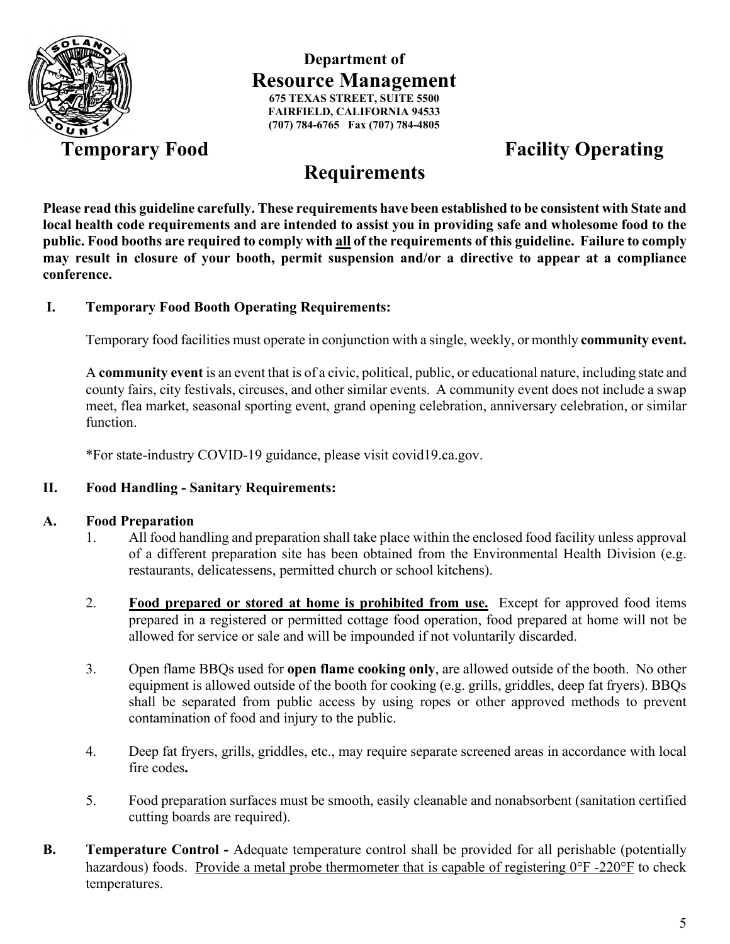

### **Department of Resource Management 675 TEXAS STREET, SUITE 5500 FAIRFIELD, CALIFORNIA 94533 (707) 784-6765 Fax (707) 784-4805**

# **Temporary Food Facility Operating**

# **Requirements**

**Please read this guideline carefully. These requirements have been established to be consistent with State and local health code requirements and are intended to assist you in providing safe and wholesome food to the public. Food booths are required to comply with all of the requirements of this guideline. Failure to comply may result in closure of your booth, permit suspension and/or a directive to appear at a compliance conference.**

#### **I. Temporary Food Booth Operating Requirements:**

Temporary food facilities must operate in conjunction with a single, weekly, or monthly **community event.**

A **community event** is an event that is of a civic, political, public, or educational nature, including state and county fairs, city festivals, circuses, and other similar events. A community event does not include a swap meet, flea market, seasonal sporting event, grand opening celebration, anniversary celebration, or similar function.

\*For state-industry COVID-19 guidance, please visit covid19.ca.gov.

#### **II. Food Handling - Sanitary Requirements:**

#### **A. Food Preparation**

- 1. All food handling and preparation shall take place within the enclosed food facility unless approval of a different preparation site has been obtained from the Environmental Health Division (e.g. restaurants, delicatessens, permitted church or school kitchens).
- 2. **Food prepared or stored at home is prohibited from use.** Except for approved food items prepared in a registered or permitted cottage food operation, food prepared at home will not be allowed for service or sale and will be impounded if not voluntarily discarded.
- 3. Open flame BBQs used for **open flame cooking only**, are allowed outside of the booth. No other equipment is allowed outside of the booth for cooking (e.g. grills, griddles, deep fat fryers). BBQs shall be separated from public access by using ropes or other approved methods to prevent contamination of food and injury to the public.
- 4. Deep fat fryers, grills, griddles, etc., may require separate screened areas in accordance with local fire codes**.**
- 5. Food preparation surfaces must be smooth, easily cleanable and nonabsorbent (sanitation certified cutting boards are required).
- **B. Temperature Control -** Adequate temperature control shall be provided for all perishable (potentially hazardous) foods. Provide a metal probe thermometer that is capable of registering  $0^{\circ}$ F -220°F to check temperatures.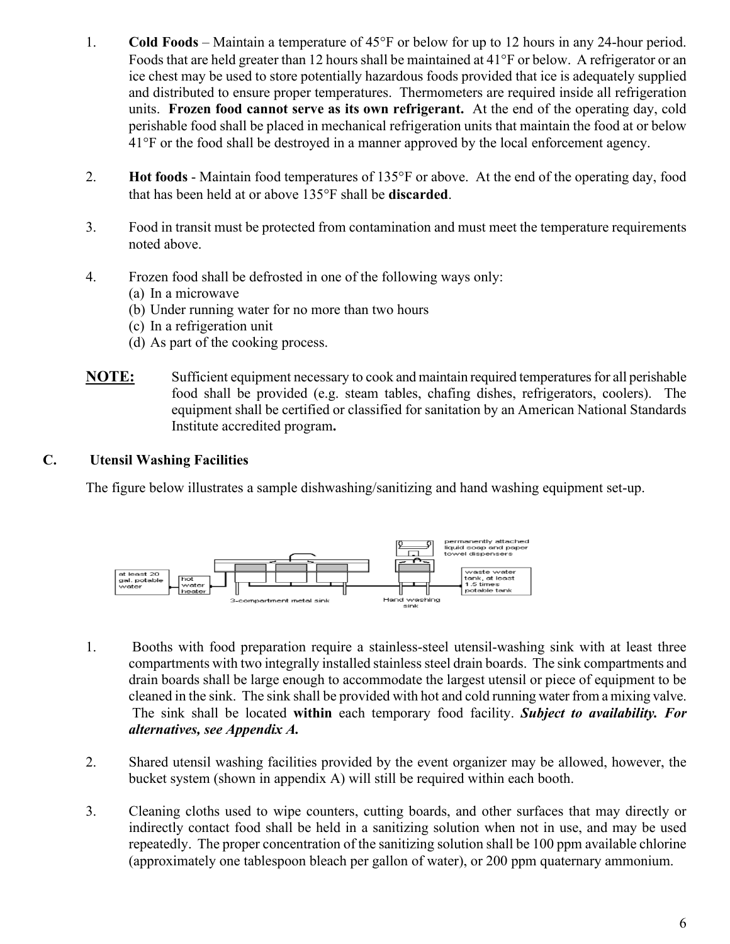- 1. **Cold Foods** Maintain a temperature of 45°F or below for up to 12 hours in any 24-hour period. Foods that are held greater than 12 hours shall be maintained at 41°F or below. A refrigerator or an ice chest may be used to store potentially hazardous foods provided that ice is adequately supplied and distributed to ensure proper temperatures. Thermometers are required inside all refrigeration units. **Frozen food cannot serve as its own refrigerant.** At the end of the operating day, cold perishable food shall be placed in mechanical refrigeration units that maintain the food at or below 41°F or the food shall be destroyed in a manner approved by the local enforcement agency.
- 2. **Hot foods**  Maintain food temperatures of 135°F or above. At the end of the operating day, food that has been held at or above 135°F shall be **discarded**.
- 3. Food in transit must be protected from contamination and must meet the temperature requirements noted above.
- 4. Frozen food shall be defrosted in one of the following ways only:
	- (a) In a microwave
	- (b) Under running water for no more than two hours
	- (c) In a refrigeration unit
	- (d) As part of the cooking process.
- **NOTE:** Sufficient equipment necessary to cook and maintain required temperatures for all perishable food shall be provided (e.g. steam tables, chafing dishes, refrigerators, coolers). The equipment shall be certified or classified for sanitation by an American National Standards Institute accredited program**.**

#### **C. Utensil Washing Facilities**

The figure below illustrates a sample dishwashing/sanitizing and hand washing equipment set-up.



- 1. Booths with food preparation require a stainless-steel utensil-washing sink with at least three compartments with two integrally installed stainless steel drain boards. The sink compartments and drain boards shall be large enough to accommodate the largest utensil or piece of equipment to be cleaned in the sink. The sink shall be provided with hot and cold running water from a mixing valve. The sink shall be located **within** each temporary food facility. *Subject to availability. For alternatives, see Appendix A.*
- 2. Shared utensil washing facilities provided by the event organizer may be allowed, however, the bucket system (shown in appendix A) will still be required within each booth.
- 3. Cleaning cloths used to wipe counters, cutting boards, and other surfaces that may directly or indirectly contact food shall be held in a sanitizing solution when not in use, and may be used repeatedly. The proper concentration of the sanitizing solution shall be 100 ppm available chlorine (approximately one tablespoon bleach per gallon of water), or 200 ppm quaternary ammonium.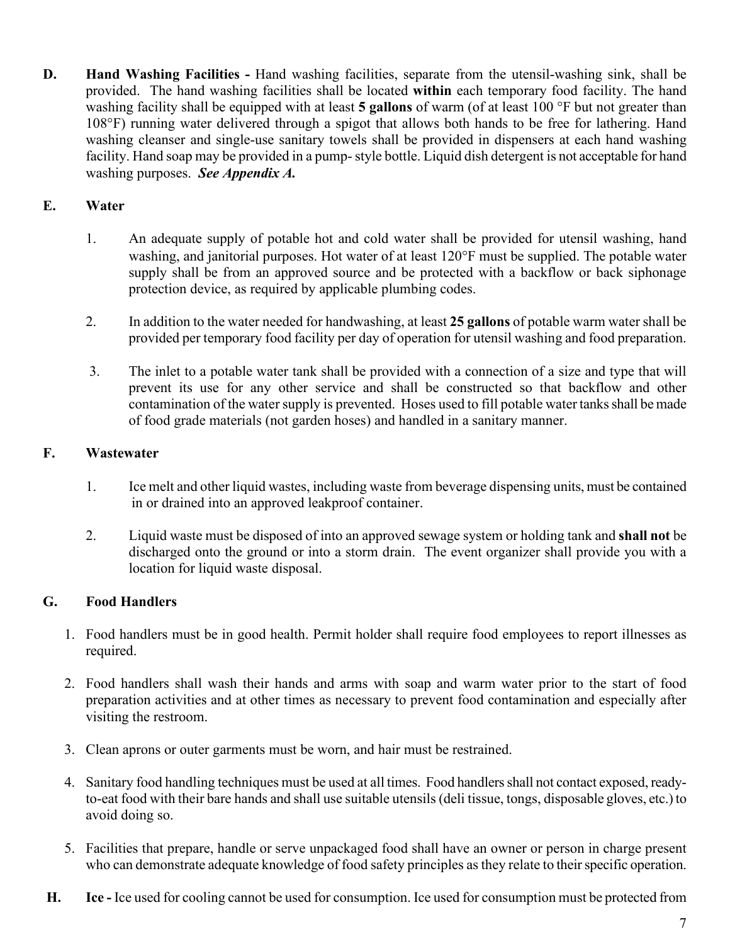**D. Hand Washing Facilities -** Hand washing facilities, separate from the utensil-washing sink, shall be provided. The hand washing facilities shall be located **within** each temporary food facility. The hand washing facility shall be equipped with at least **5 gallons** of warm (of at least 100 °F but not greater than 108°F) running water delivered through a spigot that allows both hands to be free for lathering. Hand washing cleanser and single-use sanitary towels shall be provided in dispensers at each hand washing facility. Hand soap may be provided in a pump-style bottle. Liquid dish detergent is not acceptable for hand washing purposes. *See Appendix A.*

# **E. Water**

- 1. An adequate supply of potable hot and cold water shall be provided for utensil washing, hand washing, and janitorial purposes. Hot water of at least 120°F must be supplied. The potable water supply shall be from an approved source and be protected with a backflow or back siphonage protection device, as required by applicable plumbing codes.
- 2. In addition to the water needed for handwashing, at least **25 gallons** of potable warm water shall be provided per temporary food facility per day of operation for utensil washing and food preparation.
- 3. The inlet to a potable water tank shall be provided with a connection of a size and type that will prevent its use for any other service and shall be constructed so that backflow and other contamination of the water supply is prevented. Hoses used to fill potable water tanks shall be made of food grade materials (not garden hoses) and handled in a sanitary manner.

## **F. Wastewater**

- 1. Ice melt and other liquid wastes, including waste from beverage dispensing units, must be contained in or drained into an approved leakproof container.
- 2. Liquid waste must be disposed of into an approved sewage system or holding tank and **shall not** be discharged onto the ground or into a storm drain. The event organizer shall provide you with a location for liquid waste disposal.

# **G. Food Handlers**

- 1. Food handlers must be in good health. Permit holder shall require food employees to report illnesses as required.
- 2. Food handlers shall wash their hands and arms with soap and warm water prior to the start of food preparation activities and at other times as necessary to prevent food contamination and especially after visiting the restroom.
- 3. Clean aprons or outer garments must be worn, and hair must be restrained.
- 4. Sanitary food handling techniques must be used at all times. Food handlers shall not contact exposed, readyto-eat food with their bare hands and shall use suitable utensils (deli tissue, tongs, disposable gloves, etc.) to avoid doing so.
- 5. Facilities that prepare, handle or serve unpackaged food shall have an owner or person in charge present who can demonstrate adequate knowledge of food safety principles as they relate to their specific operation.
- **H. Ice -** Ice used for cooling cannot be used for consumption. Ice used for consumption must be protected from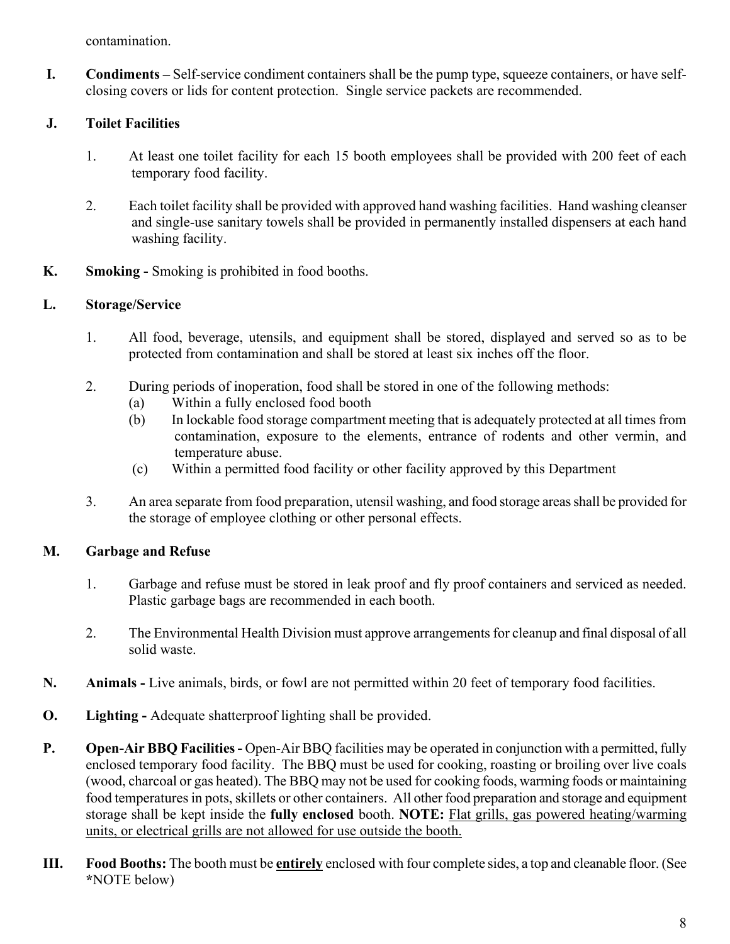contamination.

**I. Condiments –** Self-service condiment containers shall be the pump type, squeeze containers, or have selfclosing covers or lids for content protection. Single service packets are recommended.

## **J. Toilet Facilities**

- 1. At least one toilet facility for each 15 booth employees shall be provided with 200 feet of each temporary food facility.
- 2. Each toilet facility shall be provided with approved hand washing facilities. Hand washing cleanser and single-use sanitary towels shall be provided in permanently installed dispensers at each hand washing facility.
- **K. Smoking -** Smoking is prohibited in food booths.

## **L. Storage/Service**

- 1. All food, beverage, utensils, and equipment shall be stored, displayed and served so as to be protected from contamination and shall be stored at least six inches off the floor.
- 2. During periods of inoperation, food shall be stored in one of the following methods:
	- (a) Within a fully enclosed food booth
	- (b) In lockable food storage compartment meeting that is adequately protected at all times from contamination, exposure to the elements, entrance of rodents and other vermin, and temperature abuse.
	- (c) Within a permitted food facility or other facility approved by this Department
- 3. An area separate from food preparation, utensil washing, and food storage areas shall be provided for the storage of employee clothing or other personal effects.

#### **M. Garbage and Refuse**

- 1. Garbage and refuse must be stored in leak proof and fly proof containers and serviced as needed. Plastic garbage bags are recommended in each booth.
- 2. The Environmental Health Division must approve arrangements for cleanup and final disposal of all solid waste.
- **N. Animals -** Live animals, birds, or fowl are not permitted within 20 feet of temporary food facilities.
- **O. Lighting -** Adequate shatterproof lighting shall be provided.
- **P. Open-Air BBQ Facilities-** Open-Air BBQ facilities may be operated in conjunction with a permitted, fully enclosed temporary food facility. The BBQ must be used for cooking, roasting or broiling over live coals (wood, charcoal or gas heated). The BBQ may not be used for cooking foods, warming foods or maintaining food temperatures in pots, skillets or other containers.All other food preparation and storage and equipment storage shall be kept inside the **fully enclosed** booth. **NOTE:** Flat grills, gas powered heating/warming units, or electrical grills are not allowed for use outside the booth.
- **III. Food Booths:** The booth must be **entirely** enclosed with four complete sides, a top and cleanable floor. (See **\***NOTE below)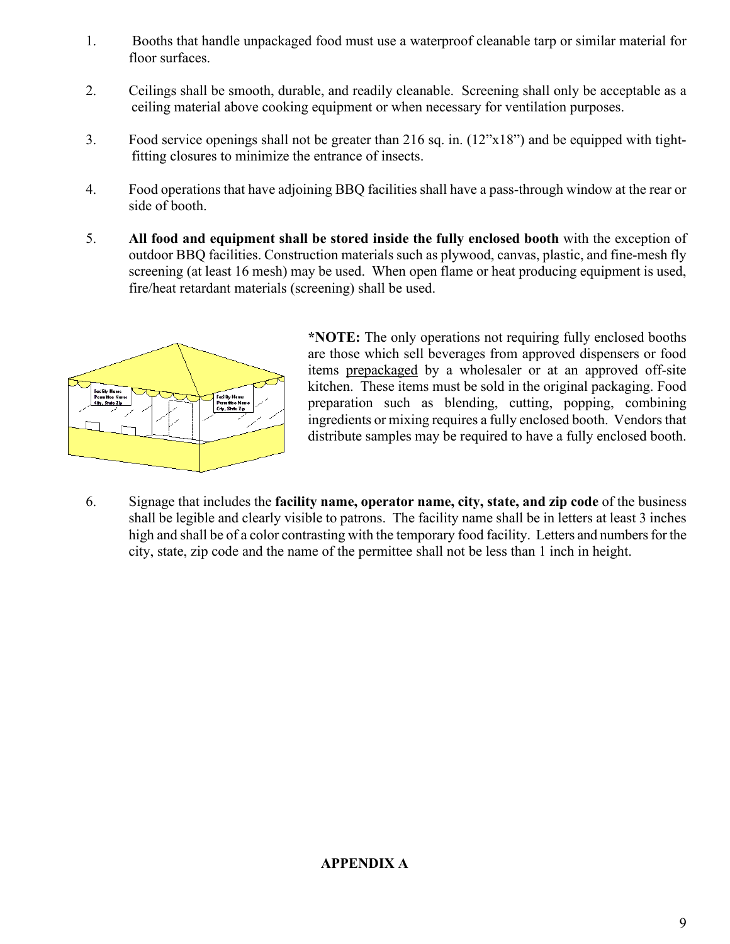- 1. Booths that handle unpackaged food must use a waterproof cleanable tarp or similar material for floor surfaces.
- 2. Ceilings shall be smooth, durable, and readily cleanable. Screening shall only be acceptable as a ceiling material above cooking equipment or when necessary for ventilation purposes.
- 3. Food service openings shall not be greater than 216 sq. in. (12"x18") and be equipped with tightfitting closures to minimize the entrance of insects.
- 4. Food operations that have adjoining BBQ facilities shall have a pass-through window at the rear or side of booth.
- 5. **All food and equipment shall be stored inside the fully enclosed booth** with the exception of outdoor BBQ facilities. Construction materials such as plywood, canvas, plastic, and fine-mesh fly screening (at least 16 mesh) may be used. When open flame or heat producing equipment is used, fire/heat retardant materials (screening) shall be used.



**\*NOTE:** The only operations not requiring fully enclosed booths are those which sell beverages from approved dispensers or food items prepackaged by a wholesaler or at an approved off-site kitchen. These items must be sold in the original packaging. Food preparation such as blending, cutting, popping, combining ingredients or mixing requires a fully enclosed booth. Vendors that distribute samples may be required to have a fully enclosed booth.

6. Signage that includes the **facility name, operator name, city, state, and zip code** of the business shall be legible and clearly visible to patrons. The facility name shall be in letters at least 3 inches high and shall be of a color contrasting with the temporary food facility. Letters and numbers for the city, state, zip code and the name of the permittee shall not be less than 1 inch in height.